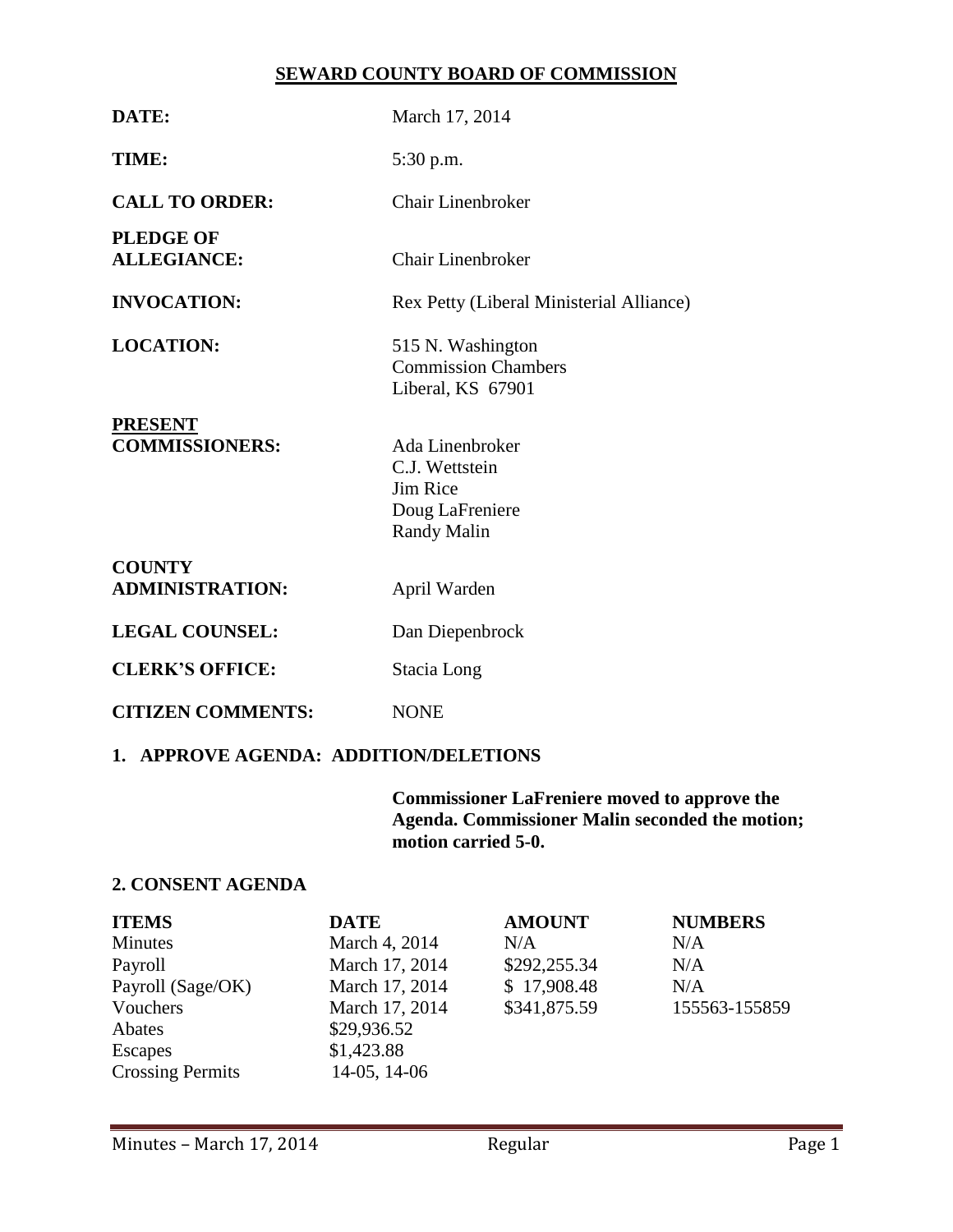### **SEWARD COUNTY BOARD OF COMMISSION**

| DATE:                                   | March 17, 2014                                                                                |  |  |  |
|-----------------------------------------|-----------------------------------------------------------------------------------------------|--|--|--|
| TIME:                                   | 5:30 p.m.                                                                                     |  |  |  |
| <b>CALL TO ORDER:</b>                   | <b>Chair Linenbroker</b>                                                                      |  |  |  |
| <b>PLEDGE OF</b><br><b>ALLEGIANCE:</b>  | Chair Linenbroker                                                                             |  |  |  |
| <b>INVOCATION:</b>                      | Rex Petty (Liberal Ministerial Alliance)                                                      |  |  |  |
| <b>LOCATION:</b>                        | 515 N. Washington<br><b>Commission Chambers</b><br>Liberal, KS 67901                          |  |  |  |
| <b>PRESENT</b><br><b>COMMISSIONERS:</b> | Ada Linenbroker<br>C.J. Wettstein<br><b>Jim Rice</b><br>Doug LaFreniere<br><b>Randy Malin</b> |  |  |  |
| <b>COUNTY</b><br><b>ADMINISTRATION:</b> | April Warden                                                                                  |  |  |  |
| <b>LEGAL COUNSEL:</b>                   | Dan Diepenbrock                                                                               |  |  |  |
| <b>CLERK'S OFFICE:</b>                  | Stacia Long                                                                                   |  |  |  |
| <b>CITIZEN COMMENTS:</b>                | <b>NONE</b>                                                                                   |  |  |  |
| 1. APPROVE AGENDA: ADDITION/DELETIONS   |                                                                                               |  |  |  |

**Commissioner LaFreniere moved to approve the Agenda. Commissioner Malin seconded the motion; motion carried 5-0.**

# **2. CONSENT AGENDA**

| <b>ITEMS</b>            | <b>DATE</b>    | <b>AMOUNT</b> | <b>NUMBERS</b> |
|-------------------------|----------------|---------------|----------------|
| Minutes                 | March 4, 2014  | N/A           | N/A            |
| Payroll                 | March 17, 2014 | \$292,255.34  | N/A            |
| Payroll (Sage/OK)       | March 17, 2014 | \$17,908.48   | N/A            |
| Vouchers                | March 17, 2014 | \$341,875.59  | 155563-155859  |
| Abates                  | \$29,936.52    |               |                |
| Escapes                 | \$1,423.88     |               |                |
| <b>Crossing Permits</b> | 14-05, 14-06   |               |                |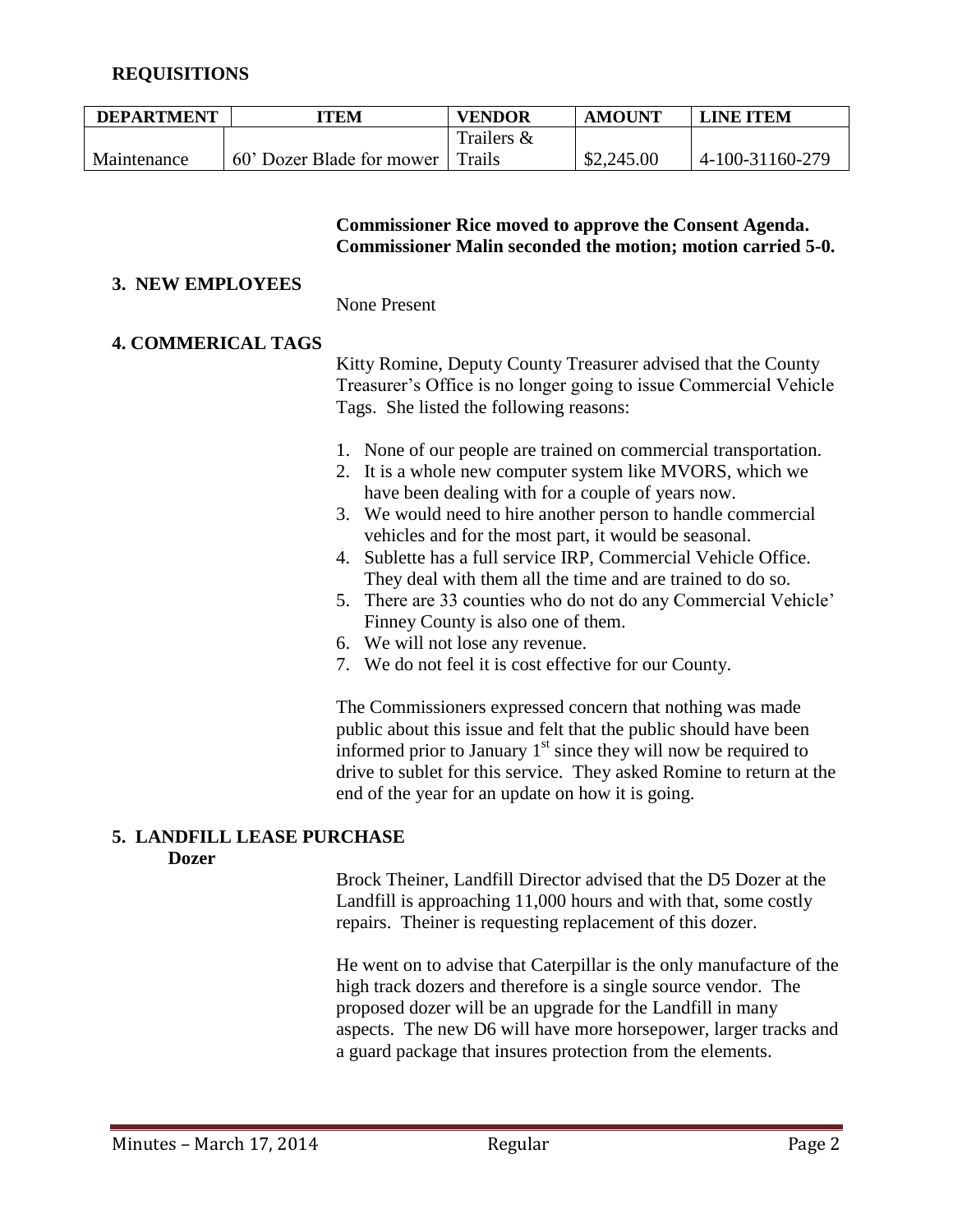# **REQUISITIONS**

| <b>DEPARTMENT</b> | TEM                        | <b>VENDOR</b> | <b>AMOUNT</b> | <b>LINE ITEM</b> |
|-------------------|----------------------------|---------------|---------------|------------------|
|                   |                            | Trailers &    |               |                  |
| Maintenance       | 160' Dozer Blade for mower | Trails        | \$2,245.00    | 4-100-31160-279  |

#### **Commissioner Rice moved to approve the Consent Agenda. Commissioner Malin seconded the motion; motion carried 5-0.**

#### **3. NEW EMPLOYEES**

None Present

### **4. COMMERICAL TAGS**

Kitty Romine, Deputy County Treasurer advised that the County Treasurer's Office is no longer going to issue Commercial Vehicle Tags. She listed the following reasons:

- 1. None of our people are trained on commercial transportation.
- 2. It is a whole new computer system like MVORS, which we have been dealing with for a couple of years now.
- 3. We would need to hire another person to handle commercial vehicles and for the most part, it would be seasonal.
- 4. Sublette has a full service IRP, Commercial Vehicle Office. They deal with them all the time and are trained to do so.
- 5. There are 33 counties who do not do any Commercial Vehicle' Finney County is also one of them.
- 6. We will not lose any revenue.
- 7. We do not feel it is cost effective for our County.

The Commissioners expressed concern that nothing was made public about this issue and felt that the public should have been informed prior to January  $1<sup>st</sup>$  since they will now be required to drive to sublet for this service. They asked Romine to return at the end of the year for an update on how it is going.

# **5. LANDFILL LEASE PURCHASE**

#### **Dozer**

Brock Theiner, Landfill Director advised that the D5 Dozer at the Landfill is approaching 11,000 hours and with that, some costly repairs. Theiner is requesting replacement of this dozer.

He went on to advise that Caterpillar is the only manufacture of the high track dozers and therefore is a single source vendor. The proposed dozer will be an upgrade for the Landfill in many aspects. The new D6 will have more horsepower, larger tracks and a guard package that insures protection from the elements.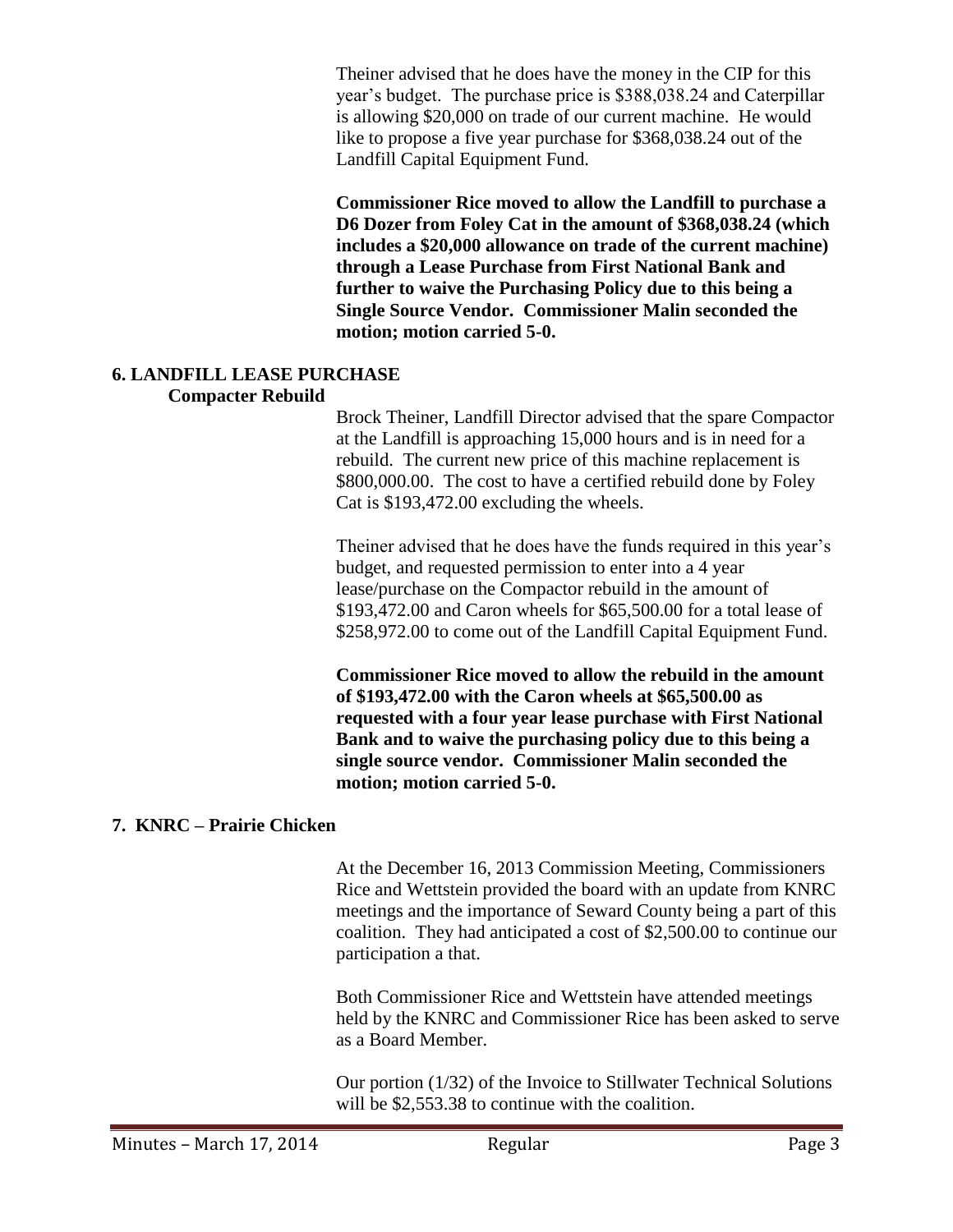Theiner advised that he does have the money in the CIP for this year's budget. The purchase price is \$388,038.24 and Caterpillar is allowing \$20,000 on trade of our current machine. He would like to propose a five year purchase for \$368,038.24 out of the Landfill Capital Equipment Fund.

**Commissioner Rice moved to allow the Landfill to purchase a D6 Dozer from Foley Cat in the amount of \$368,038.24 (which includes a \$20,000 allowance on trade of the current machine) through a Lease Purchase from First National Bank and further to waive the Purchasing Policy due to this being a Single Source Vendor. Commissioner Malin seconded the motion; motion carried 5-0.** 

#### **6. LANDFILL LEASE PURCHASE Compacter Rebuild**

Brock Theiner, Landfill Director advised that the spare Compactor at the Landfill is approaching 15,000 hours and is in need for a rebuild. The current new price of this machine replacement is \$800,000.00. The cost to have a certified rebuild done by Foley Cat is \$193,472.00 excluding the wheels.

Theiner advised that he does have the funds required in this year's budget, and requested permission to enter into a 4 year lease/purchase on the Compactor rebuild in the amount of \$193,472.00 and Caron wheels for \$65,500.00 for a total lease of \$258,972.00 to come out of the Landfill Capital Equipment Fund.

**Commissioner Rice moved to allow the rebuild in the amount of \$193,472.00 with the Caron wheels at \$65,500.00 as requested with a four year lease purchase with First National Bank and to waive the purchasing policy due to this being a single source vendor. Commissioner Malin seconded the motion; motion carried 5-0.**

# **7. KNRC – Prairie Chicken**

At the December 16, 2013 Commission Meeting, Commissioners Rice and Wettstein provided the board with an update from KNRC meetings and the importance of Seward County being a part of this coalition. They had anticipated a cost of \$2,500.00 to continue our participation a that.

Both Commissioner Rice and Wettstein have attended meetings held by the KNRC and Commissioner Rice has been asked to serve as a Board Member.

Our portion (1/32) of the Invoice to Stillwater Technical Solutions will be \$2,553.38 to continue with the coalition.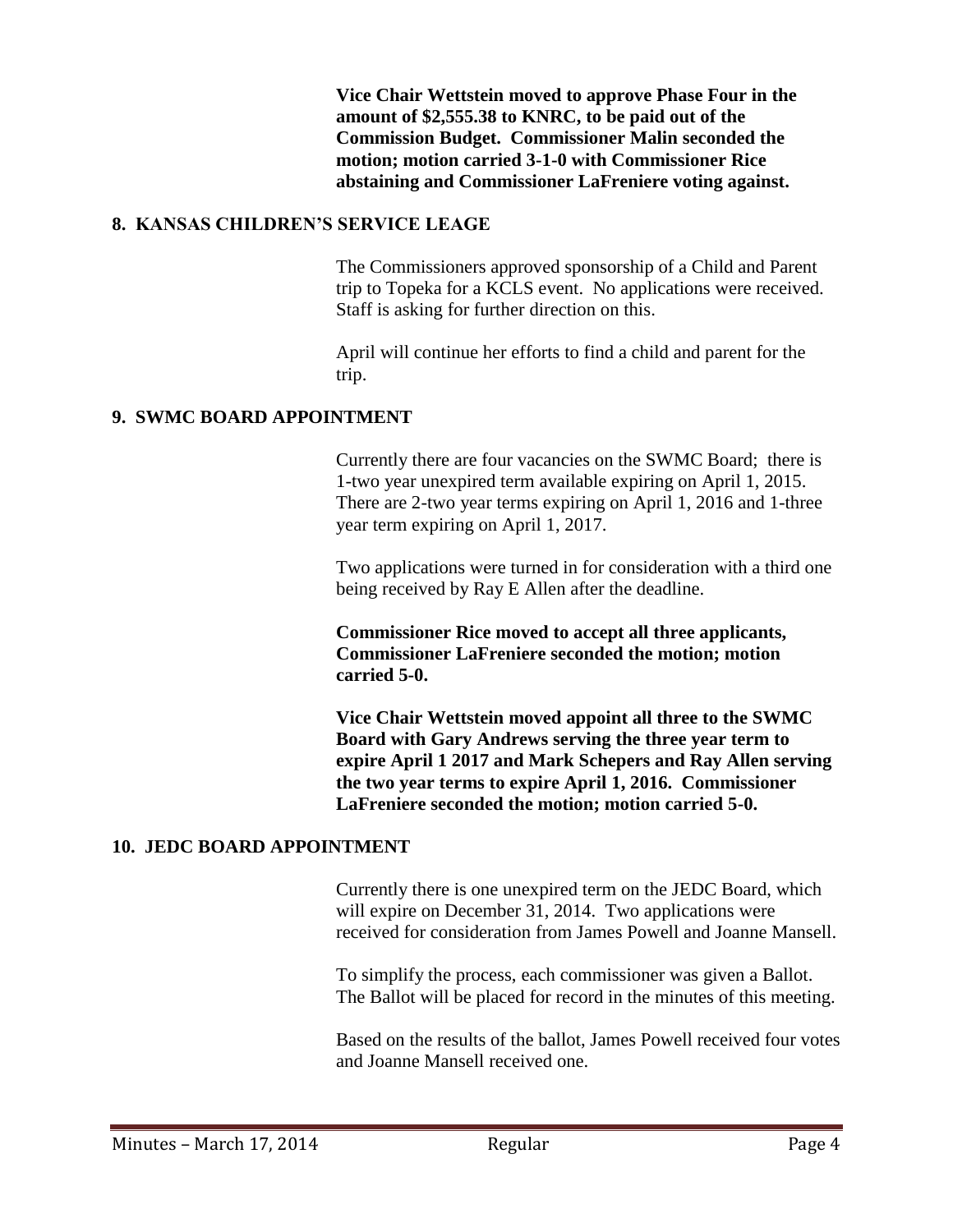**Vice Chair Wettstein moved to approve Phase Four in the amount of \$2,555.38 to KNRC, to be paid out of the Commission Budget. Commissioner Malin seconded the motion; motion carried 3-1-0 with Commissioner Rice abstaining and Commissioner LaFreniere voting against.**

# **8. KANSAS CHILDREN'S SERVICE LEAGE**

The Commissioners approved sponsorship of a Child and Parent trip to Topeka for a KCLS event. No applications were received. Staff is asking for further direction on this.

April will continue her efforts to find a child and parent for the trip.

# **9. SWMC BOARD APPOINTMENT**

Currently there are four vacancies on the SWMC Board; there is 1-two year unexpired term available expiring on April 1, 2015. There are 2-two year terms expiring on April 1, 2016 and 1-three year term expiring on April 1, 2017.

Two applications were turned in for consideration with a third one being received by Ray E Allen after the deadline.

**Commissioner Rice moved to accept all three applicants, Commissioner LaFreniere seconded the motion; motion carried 5-0.**

**Vice Chair Wettstein moved appoint all three to the SWMC Board with Gary Andrews serving the three year term to expire April 1 2017 and Mark Schepers and Ray Allen serving the two year terms to expire April 1, 2016. Commissioner LaFreniere seconded the motion; motion carried 5-0.**

# **10. JEDC BOARD APPOINTMENT**

Currently there is one unexpired term on the JEDC Board, which will expire on December 31, 2014. Two applications were received for consideration from James Powell and Joanne Mansell.

To simplify the process, each commissioner was given a Ballot. The Ballot will be placed for record in the minutes of this meeting.

Based on the results of the ballot, James Powell received four votes and Joanne Mansell received one.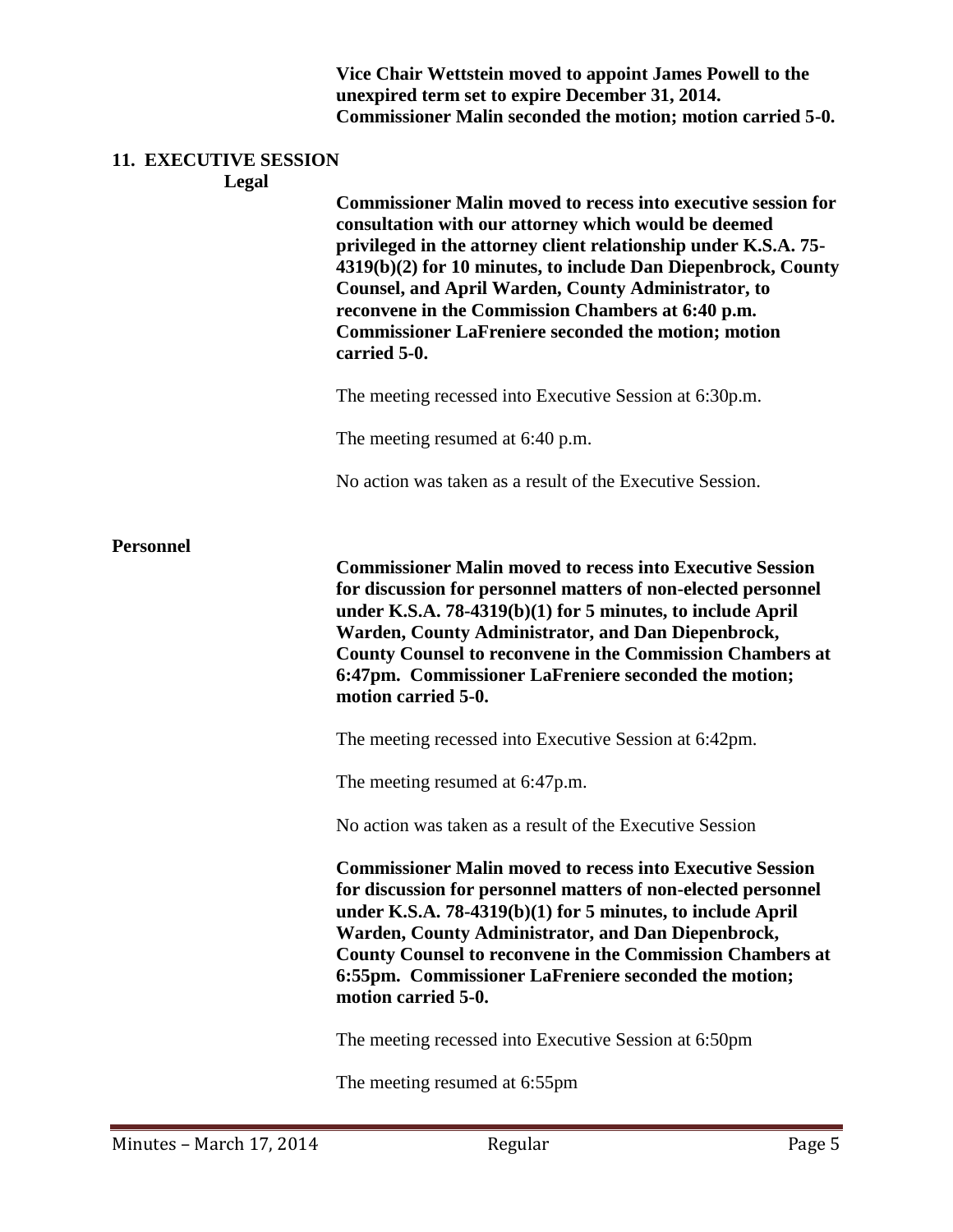**Vice Chair Wettstein moved to appoint James Powell to the unexpired term set to expire December 31, 2014. Commissioner Malin seconded the motion; motion carried 5-0.**

# **11. EXECUTIVE SESSION**

**Legal**

**Commissioner Malin moved to recess into executive session for consultation with our attorney which would be deemed privileged in the attorney client relationship under K.S.A. 75- 4319(b)(2) for 10 minutes, to include Dan Diepenbrock, County Counsel, and April Warden, County Administrator, to reconvene in the Commission Chambers at 6:40 p.m. Commissioner LaFreniere seconded the motion; motion carried 5-0.**

The meeting recessed into Executive Session at 6:30p.m.

The meeting resumed at 6:40 p.m.

No action was taken as a result of the Executive Session.

# **Personnel**

**Commissioner Malin moved to recess into Executive Session for discussion for personnel matters of non-elected personnel under K.S.A. 78-4319(b)(1) for 5 minutes, to include April Warden, County Administrator, and Dan Diepenbrock, County Counsel to reconvene in the Commission Chambers at 6:47pm. Commissioner LaFreniere seconded the motion; motion carried 5-0.**

The meeting recessed into Executive Session at 6:42pm.

The meeting resumed at 6:47p.m.

No action was taken as a result of the Executive Session

**Commissioner Malin moved to recess into Executive Session for discussion for personnel matters of non-elected personnel under K.S.A. 78-4319(b)(1) for 5 minutes, to include April Warden, County Administrator, and Dan Diepenbrock, County Counsel to reconvene in the Commission Chambers at 6:55pm. Commissioner LaFreniere seconded the motion; motion carried 5-0.**

The meeting recessed into Executive Session at 6:50pm

The meeting resumed at 6:55pm